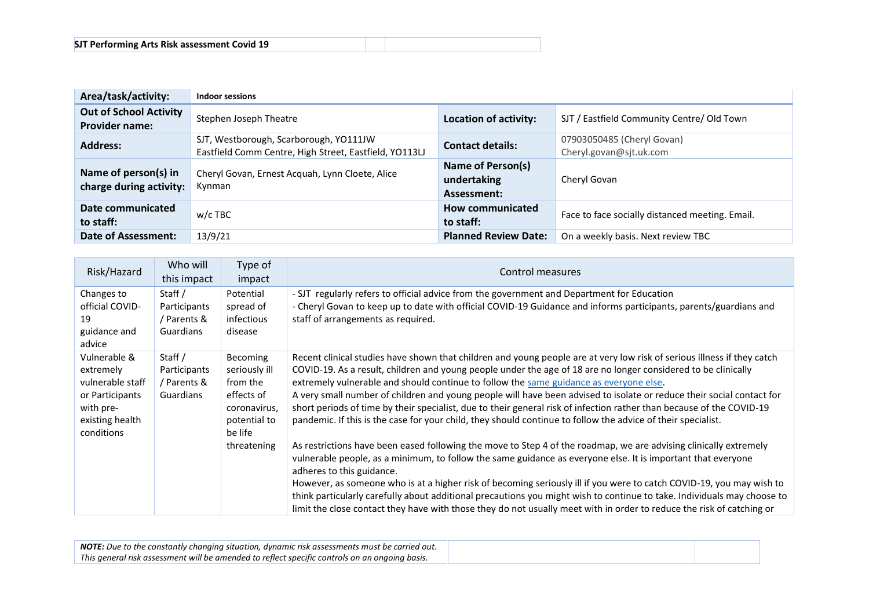| Area/task/activity:                                    | Indoor sessions                                                                                  |                                                 |                                                       |
|--------------------------------------------------------|--------------------------------------------------------------------------------------------------|-------------------------------------------------|-------------------------------------------------------|
| <b>Out of School Activity</b><br><b>Provider name:</b> | Stephen Joseph Theatre                                                                           | Location of activity:                           | SJT / Eastfield Community Centre/ Old Town            |
| <b>Address:</b>                                        | SJT, Westborough, Scarborough, YO111JW<br>Eastfield Comm Centre, High Street, Eastfield, YO113LJ | <b>Contact details:</b>                         | 07903050485 (Cheryl Govan)<br>Cheryl.govan@sjt.uk.com |
| Name of person(s) in<br>charge during activity:        | Cheryl Govan, Ernest Acquah, Lynn Cloete, Alice<br>Kynman                                        | Name of Person(s)<br>undertaking<br>Assessment: | Cheryl Govan                                          |
| Date communicated<br>to staff:                         | $w/c$ TBC                                                                                        | How communicated<br>to staff:                   | Face to face socially distanced meeting. Email.       |
| Date of Assessment:                                    | 13/9/21                                                                                          | <b>Planned Review Date:</b>                     | On a weekly basis. Next review TBC                    |

| Risk/Hazard                                                                                                    | Who will<br>this impact                             | Type of<br>impact                                                                                     | Control measures                                                                                                                                                                                                                                                                                                                                                                                                                                                                                                                                                                                                                                                                                      |
|----------------------------------------------------------------------------------------------------------------|-----------------------------------------------------|-------------------------------------------------------------------------------------------------------|-------------------------------------------------------------------------------------------------------------------------------------------------------------------------------------------------------------------------------------------------------------------------------------------------------------------------------------------------------------------------------------------------------------------------------------------------------------------------------------------------------------------------------------------------------------------------------------------------------------------------------------------------------------------------------------------------------|
| Changes to<br>official COVID-<br>19<br>guidance and<br>advice                                                  | Staff /<br>Participants<br>/ Parents &<br>Guardians | Potential<br>spread of<br>infectious<br>disease                                                       | - SJT regularly refers to official advice from the government and Department for Education<br>- Cheryl Govan to keep up to date with official COVID-19 Guidance and informs participants, parents/guardians and<br>staff of arrangements as required.                                                                                                                                                                                                                                                                                                                                                                                                                                                 |
| Vulnerable &<br>extremely<br>vulnerable staff<br>or Participants<br>with pre-<br>existing health<br>conditions | Staff /<br>Participants<br>/ Parents &<br>Guardians | <b>Becoming</b><br>seriously ill<br>from the<br>effects of<br>coronavirus,<br>potential to<br>be life | Recent clinical studies have shown that children and young people are at very low risk of serious illness if they catch<br>COVID-19. As a result, children and young people under the age of 18 are no longer considered to be clinically<br>extremely vulnerable and should continue to follow the same guidance as everyone else.<br>A very small number of children and young people will have been advised to isolate or reduce their social contact for<br>short periods of time by their specialist, due to their general risk of infection rather than because of the COVID-19<br>pandemic. If this is the case for your child, they should continue to follow the advice of their specialist. |
|                                                                                                                |                                                     | threatening                                                                                           | As restrictions have been eased following the move to Step 4 of the roadmap, we are advising clinically extremely<br>vulnerable people, as a minimum, to follow the same guidance as everyone else. It is important that everyone<br>adheres to this guidance.<br>However, as someone who is at a higher risk of becoming seriously ill if you were to catch COVID-19, you may wish to<br>think particularly carefully about additional precautions you might wish to continue to take. Individuals may choose to<br>limit the close contact they have with those they do not usually meet with in order to reduce the risk of catching or                                                            |

| <b>NOTE:</b> Due to the constantly changing situation, dynamic risk assessments must be carried out. |
|------------------------------------------------------------------------------------------------------|
| This general risk assessment will be amended to reflect specific controls on an ongoing basis.       |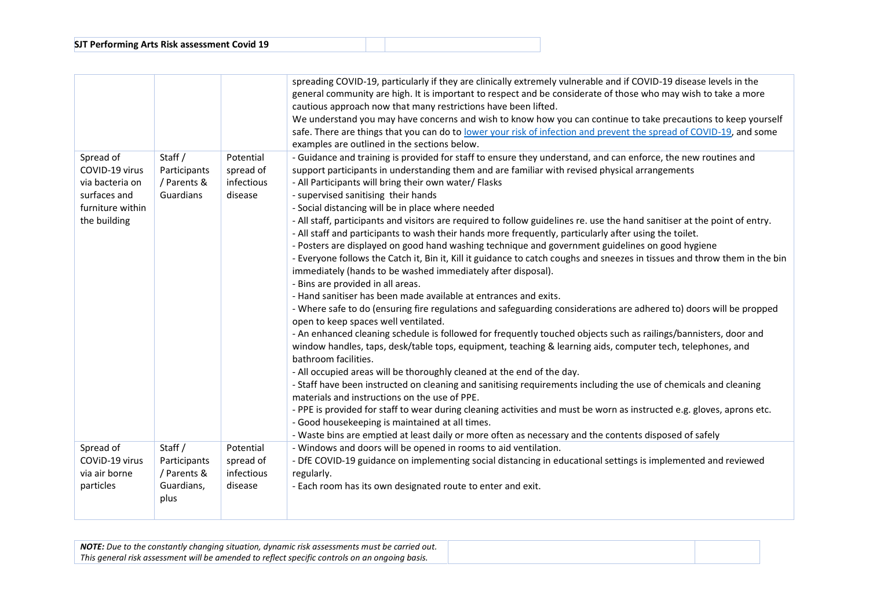|                                                                                                    |                                                              |                                                 | spreading COVID-19, particularly if they are clinically extremely vulnerable and if COVID-19 disease levels in the<br>general community are high. It is important to respect and be considerate of those who may wish to take a more<br>cautious approach now that many restrictions have been lifted.<br>We understand you may have concerns and wish to know how you can continue to take precautions to keep yourself<br>safe. There are things that you can do to lower your risk of infection and prevent the spread of COVID-19, and some<br>examples are outlined in the sections below.                                                                                                                                                                                                                                                                                                                                                                                                                                                                                                                                                                                                                                                                                                                                                                                                                                                                                                                                                                                                                                                                                                                                                                                                                                                                                                                                                                                         |
|----------------------------------------------------------------------------------------------------|--------------------------------------------------------------|-------------------------------------------------|-----------------------------------------------------------------------------------------------------------------------------------------------------------------------------------------------------------------------------------------------------------------------------------------------------------------------------------------------------------------------------------------------------------------------------------------------------------------------------------------------------------------------------------------------------------------------------------------------------------------------------------------------------------------------------------------------------------------------------------------------------------------------------------------------------------------------------------------------------------------------------------------------------------------------------------------------------------------------------------------------------------------------------------------------------------------------------------------------------------------------------------------------------------------------------------------------------------------------------------------------------------------------------------------------------------------------------------------------------------------------------------------------------------------------------------------------------------------------------------------------------------------------------------------------------------------------------------------------------------------------------------------------------------------------------------------------------------------------------------------------------------------------------------------------------------------------------------------------------------------------------------------------------------------------------------------------------------------------------------------|
| Spread of<br>COVID-19 virus<br>via bacteria on<br>surfaces and<br>furniture within<br>the building | Staff /<br>Participants<br>/ Parents &<br>Guardians          | Potential<br>spread of<br>infectious<br>disease | - Guidance and training is provided for staff to ensure they understand, and can enforce, the new routines and<br>support participants in understanding them and are familiar with revised physical arrangements<br>- All Participants will bring their own water/ Flasks<br>- supervised sanitising their hands<br>- Social distancing will be in place where needed<br>- All staff, participants and visitors are required to follow guidelines re. use the hand sanitiser at the point of entry.<br>- All staff and participants to wash their hands more frequently, particularly after using the toilet.<br>- Posters are displayed on good hand washing technique and government guidelines on good hygiene<br>- Everyone follows the Catch it, Bin it, Kill it guidance to catch coughs and sneezes in tissues and throw them in the bin<br>immediately (hands to be washed immediately after disposal).<br>- Bins are provided in all areas.<br>- Hand sanitiser has been made available at entrances and exits.<br>- Where safe to do (ensuring fire regulations and safeguarding considerations are adhered to) doors will be propped<br>open to keep spaces well ventilated.<br>- An enhanced cleaning schedule is followed for frequently touched objects such as railings/bannisters, door and<br>window handles, taps, desk/table tops, equipment, teaching & learning aids, computer tech, telephones, and<br>bathroom facilities.<br>- All occupied areas will be thoroughly cleaned at the end of the day.<br>- Staff have been instructed on cleaning and sanitising requirements including the use of chemicals and cleaning<br>materials and instructions on the use of PPE.<br>- PPE is provided for staff to wear during cleaning activities and must be worn as instructed e.g. gloves, aprons etc.<br>- Good housekeeping is maintained at all times.<br>- Waste bins are emptied at least daily or more often as necessary and the contents disposed of safely |
| Spread of<br>COVID-19 virus<br>via air borne<br>particles                                          | Staff /<br>Participants<br>/ Parents &<br>Guardians,<br>plus | Potential<br>spread of<br>infectious<br>disease | - Windows and doors will be opened in rooms to aid ventilation.<br>- DfE COVID-19 guidance on implementing social distancing in educational settings is implemented and reviewed<br>regularly.<br>- Each room has its own designated route to enter and exit.                                                                                                                                                                                                                                                                                                                                                                                                                                                                                                                                                                                                                                                                                                                                                                                                                                                                                                                                                                                                                                                                                                                                                                                                                                                                                                                                                                                                                                                                                                                                                                                                                                                                                                                           |

| <b>NOTE:</b> Due to the constantly changing situation, dynamic risk assessments must be carried out. |
|------------------------------------------------------------------------------------------------------|
| This general risk assessment will be amended to reflect specific controls on an ongoing basis.       |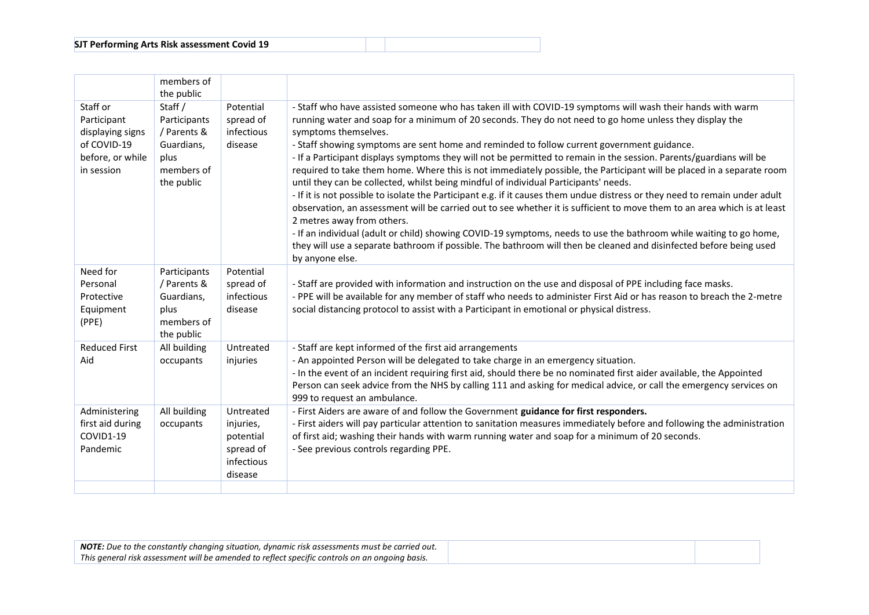|                                                                                              | members of<br>the public                                                                 |                                                                           |                                                                                                                                                                                                                                                                                                                                                                                                                                                                                                                                                                                                                                                                                                                                                                                                                                                                                                                                                                                                                                                                                                                                                                                                                                             |
|----------------------------------------------------------------------------------------------|------------------------------------------------------------------------------------------|---------------------------------------------------------------------------|---------------------------------------------------------------------------------------------------------------------------------------------------------------------------------------------------------------------------------------------------------------------------------------------------------------------------------------------------------------------------------------------------------------------------------------------------------------------------------------------------------------------------------------------------------------------------------------------------------------------------------------------------------------------------------------------------------------------------------------------------------------------------------------------------------------------------------------------------------------------------------------------------------------------------------------------------------------------------------------------------------------------------------------------------------------------------------------------------------------------------------------------------------------------------------------------------------------------------------------------|
| Staff or<br>Participant<br>displaying signs<br>of COVID-19<br>before, or while<br>in session | Staff /<br>Participants<br>/ Parents &<br>Guardians,<br>plus<br>members of<br>the public | Potential<br>spread of<br>infectious<br>disease                           | - Staff who have assisted someone who has taken ill with COVID-19 symptoms will wash their hands with warm<br>running water and soap for a minimum of 20 seconds. They do not need to go home unless they display the<br>symptoms themselves.<br>- Staff showing symptoms are sent home and reminded to follow current government guidance.<br>- If a Participant displays symptoms they will not be permitted to remain in the session. Parents/guardians will be<br>required to take them home. Where this is not immediately possible, the Participant will be placed in a separate room<br>until they can be collected, whilst being mindful of individual Participants' needs.<br>- If it is not possible to isolate the Participant e.g. if it causes them undue distress or they need to remain under adult<br>observation, an assessment will be carried out to see whether it is sufficient to move them to an area which is at least<br>2 metres away from others.<br>- If an individual (adult or child) showing COVID-19 symptoms, needs to use the bathroom while waiting to go home,<br>they will use a separate bathroom if possible. The bathroom will then be cleaned and disinfected before being used<br>by anyone else. |
| Need for<br>Personal<br>Protective<br>Equipment<br>(PPE)                                     | Participants<br>/ Parents &<br>Guardians,<br>plus<br>members of<br>the public            | Potential<br>spread of<br>infectious<br>disease                           | - Staff are provided with information and instruction on the use and disposal of PPE including face masks.<br>- PPE will be available for any member of staff who needs to administer First Aid or has reason to breach the 2-metre<br>social distancing protocol to assist with a Participant in emotional or physical distress.                                                                                                                                                                                                                                                                                                                                                                                                                                                                                                                                                                                                                                                                                                                                                                                                                                                                                                           |
| <b>Reduced First</b><br>Aid                                                                  | All building<br>occupants                                                                | Untreated<br>injuries                                                     | - Staff are kept informed of the first aid arrangements<br>- An appointed Person will be delegated to take charge in an emergency situation.<br>- In the event of an incident requiring first aid, should there be no nominated first aider available, the Appointed<br>Person can seek advice from the NHS by calling 111 and asking for medical advice, or call the emergency services on<br>999 to request an ambulance.                                                                                                                                                                                                                                                                                                                                                                                                                                                                                                                                                                                                                                                                                                                                                                                                                 |
| Administering<br>first aid during<br>COVID1-19<br>Pandemic                                   | All building<br>occupants                                                                | Untreated<br>injuries,<br>potential<br>spread of<br>infectious<br>disease | - First Aiders are aware of and follow the Government guidance for first responders.<br>- First aiders will pay particular attention to sanitation measures immediately before and following the administration<br>of first aid; washing their hands with warm running water and soap for a minimum of 20 seconds.<br>- See previous controls regarding PPE.                                                                                                                                                                                                                                                                                                                                                                                                                                                                                                                                                                                                                                                                                                                                                                                                                                                                                |
|                                                                                              |                                                                                          |                                                                           |                                                                                                                                                                                                                                                                                                                                                                                                                                                                                                                                                                                                                                                                                                                                                                                                                                                                                                                                                                                                                                                                                                                                                                                                                                             |

| <b>NOTE:</b> Due to the constantly changing situation, dynamic risk assessments must be carried out. |
|------------------------------------------------------------------------------------------------------|
| This general risk assessment will be amended to reflect specific controls on an ongoing basis.       |